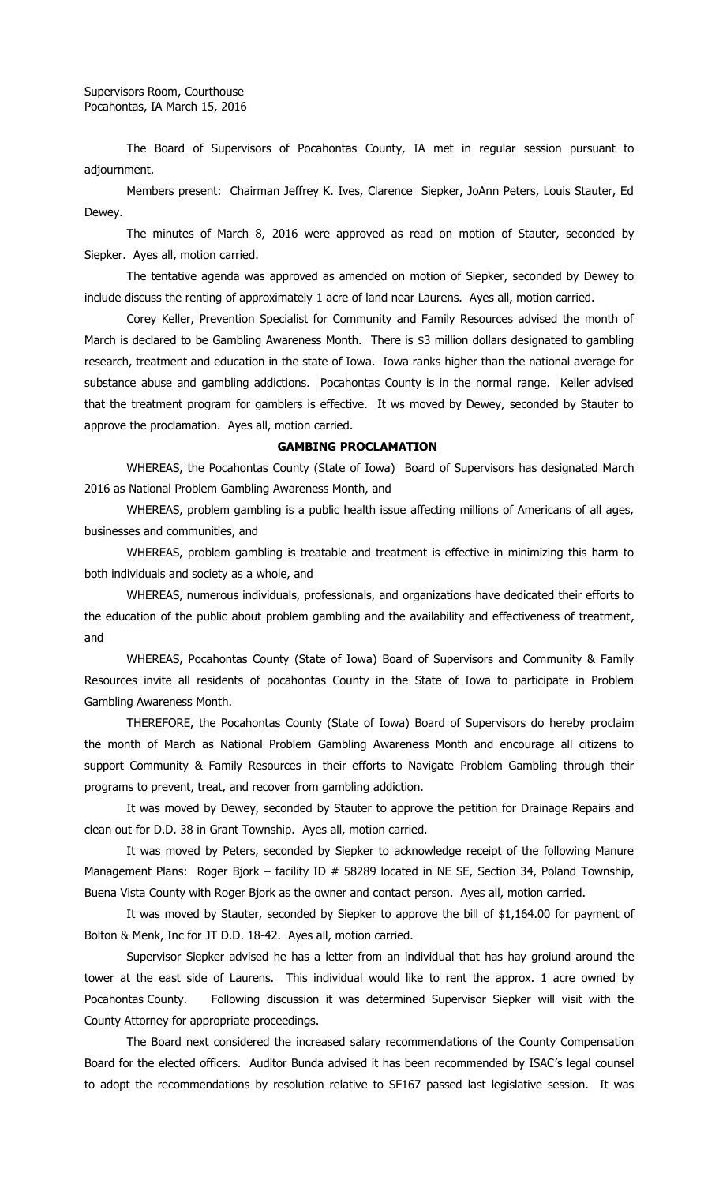The Board of Supervisors of Pocahontas County, IA met in regular session pursuant to adjournment.

Members present: Chairman Jeffrey K. Ives, Clarence Siepker, JoAnn Peters, Louis Stauter, Ed Dewey.

The minutes of March 8, 2016 were approved as read on motion of Stauter, seconded by Siepker. Ayes all, motion carried.

The tentative agenda was approved as amended on motion of Siepker, seconded by Dewey to include discuss the renting of approximately 1 acre of land near Laurens. Ayes all, motion carried.

Corey Keller, Prevention Specialist for Community and Family Resources advised the month of March is declared to be Gambling Awareness Month. There is \$3 million dollars designated to gambling research, treatment and education in the state of Iowa. Iowa ranks higher than the national average for substance abuse and gambling addictions. Pocahontas County is in the normal range. Keller advised that the treatment program for gamblers is effective. It ws moved by Dewey, seconded by Stauter to approve the proclamation. Ayes all, motion carried.

#### **GAMBING PROCLAMATION**

WHEREAS, the Pocahontas County (State of Iowa) Board of Supervisors has designated March 2016 as National Problem Gambling Awareness Month, and

WHEREAS, problem gambling is a public health issue affecting millions of Americans of all ages, businesses and communities, and

WHEREAS, problem gambling is treatable and treatment is effective in minimizing this harm to both individuals and society as a whole, and

WHEREAS, numerous individuals, professionals, and organizations have dedicated their efforts to the education of the public about problem gambling and the availability and effectiveness of treatment, and

WHEREAS, Pocahontas County (State of Iowa) Board of Supervisors and Community & Family Resources invite all residents of pocahontas County in the State of Iowa to participate in Problem Gambling Awareness Month.

THEREFORE, the Pocahontas County (State of Iowa) Board of Supervisors do hereby proclaim the month of March as National Problem Gambling Awareness Month and encourage all citizens to support Community & Family Resources in their efforts to Navigate Problem Gambling through their programs to prevent, treat, and recover from gambling addiction.

It was moved by Dewey, seconded by Stauter to approve the petition for Drainage Repairs and clean out for D.D. 38 in Grant Township. Ayes all, motion carried.

It was moved by Peters, seconded by Siepker to acknowledge receipt of the following Manure Management Plans: Roger Bjork – facility ID # 58289 located in NE SE, Section 34, Poland Township, Buena Vista County with Roger Bjork as the owner and contact person. Ayes all, motion carried.

It was moved by Stauter, seconded by Siepker to approve the bill of \$1,164.00 for payment of Bolton & Menk, Inc for JT D.D. 18-42. Ayes all, motion carried.

Supervisor Siepker advised he has a letter from an individual that has hay groiund around the tower at the east side of Laurens. This individual would like to rent the approx. 1 acre owned by Pocahontas County. Following discussion it was determined Supervisor Siepker will visit with the County Attorney for appropriate proceedings.

The Board next considered the increased salary recommendations of the County Compensation Board for the elected officers. Auditor Bunda advised it has been recommended by ISAC's legal counsel to adopt the recommendations by resolution relative to SF167 passed last legislative session. It was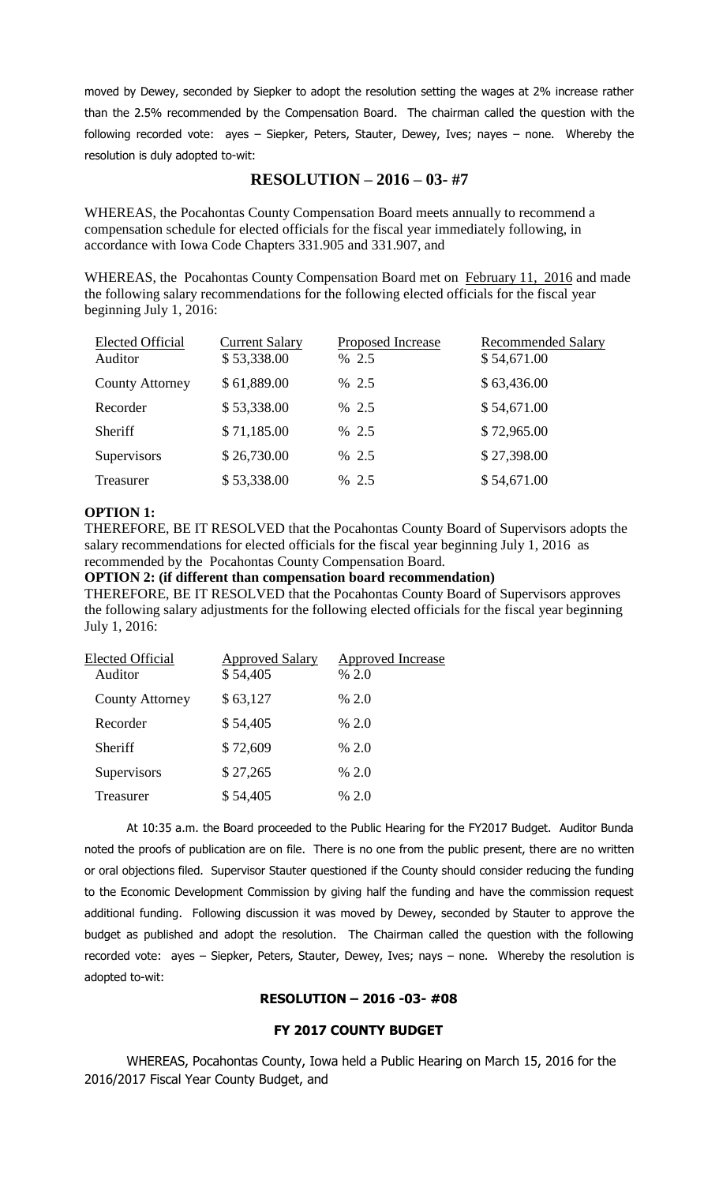moved by Dewey, seconded by Siepker to adopt the resolution setting the wages at 2% increase rather than the 2.5% recommended by the Compensation Board. The chairman called the question with the following recorded vote: ayes – Siepker, Peters, Stauter, Dewey, Ives; nayes – none. Whereby the resolution is duly adopted to-wit:

# **RESOLUTION – 2016 – 03- #7**

WHEREAS, the Pocahontas County Compensation Board meets annually to recommend a compensation schedule for elected officials for the fiscal year immediately following, in accordance with Iowa Code Chapters 331.905 and 331.907, and

WHEREAS, the Pocahontas County Compensation Board met on February 11, 2016 and made the following salary recommendations for the following elected officials for the fiscal year beginning July 1, 2016:

| <b>Elected Official</b><br>Auditor | <b>Current Salary</b><br>\$53,338.00 | Proposed Increase<br>% 2.5 | <b>Recommended Salary</b><br>\$54,671.00 |
|------------------------------------|--------------------------------------|----------------------------|------------------------------------------|
| <b>County Attorney</b>             | \$61,889.00                          | % 2.5                      | \$63,436.00                              |
| Recorder                           | \$53,338.00                          | % 2.5                      | \$54,671.00                              |
| Sheriff                            | \$71,185.00                          | % 2.5                      | \$72,965.00                              |
| Supervisors                        | \$26,730.00                          | % 2.5                      | \$27,398.00                              |
| Treasurer                          | \$53,338.00                          | % 2.5                      | \$54,671.00                              |

### **OPTION 1:**

THEREFORE, BE IT RESOLVED that the Pocahontas County Board of Supervisors adopts the salary recommendations for elected officials for the fiscal year beginning July 1, 2016 as recommended by the Pocahontas County Compensation Board.

**OPTION 2: (if different than compensation board recommendation)**

THEREFORE, BE IT RESOLVED that the Pocahontas County Board of Supervisors approves the following salary adjustments for the following elected officials for the fiscal year beginning July 1, 2016:

| <b>Elected Official</b><br>Auditor | <b>Approved Salary</b><br>\$54,405 | <b>Approved Increase</b><br>% 2.0 |
|------------------------------------|------------------------------------|-----------------------------------|
| <b>County Attorney</b>             | \$63,127                           | % 2.0                             |
| Recorder                           | \$54,405                           | % 2.0                             |
| Sheriff                            | \$72,609                           | % 2.0                             |
| Supervisors                        | \$27,265                           | % 2.0                             |
| Treasurer                          | \$54,405                           | % 2.0                             |

At 10:35 a.m. the Board proceeded to the Public Hearing for the FY2017 Budget. Auditor Bunda noted the proofs of publication are on file. There is no one from the public present, there are no written or oral objections filed. Supervisor Stauter questioned if the County should consider reducing the funding to the Economic Development Commission by giving half the funding and have the commission request additional funding. Following discussion it was moved by Dewey, seconded by Stauter to approve the budget as published and adopt the resolution. The Chairman called the question with the following recorded vote: ayes – Siepker, Peters, Stauter, Dewey, Ives; nays – none. Whereby the resolution is adopted to-wit:

## **RESOLUTION – 2016 -03- #08**

## **FY 2017 COUNTY BUDGET**

WHEREAS, Pocahontas County, Iowa held a Public Hearing on March 15, 2016 for the 2016/2017 Fiscal Year County Budget, and